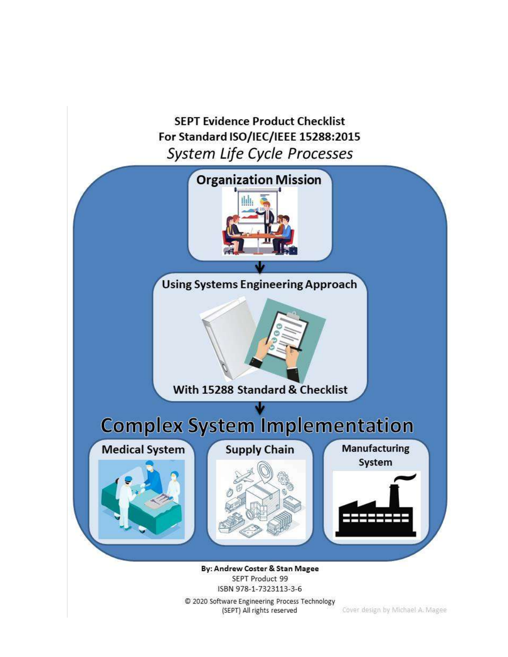**SEPT Evidence Product Checklist** For Standard ISO/IEC/IEEE 15288:2015 System Life Cycle Processes



SEPT Product 99 15BN 978-1-7323113-3-6<br>© 2020 Software Engineering Process Technology

(SEPT) All rights reserved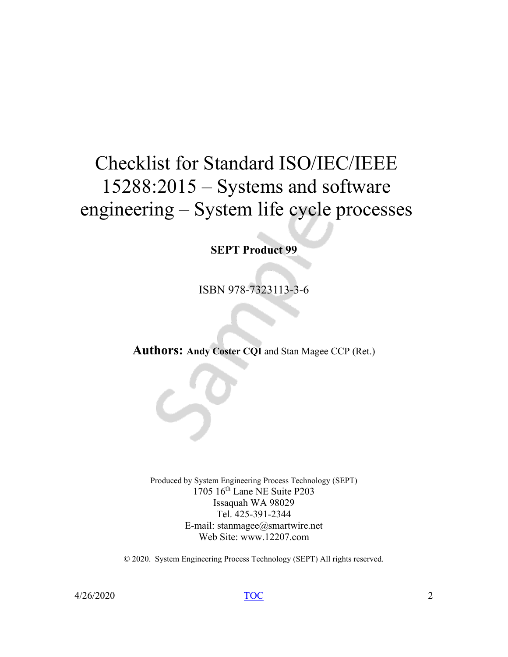# Checklist for Standard ISO/IEC/IEEE 15288:2015 – Systems and software engineering – System life cycle processes

**SEPT Product 99**

ISBN 978-7323113-3-6

**Authors: Andy Coster CQI** and Stan Magee CCP (Ret.)

Produced by System Engineering Process Technology (SEPT) 1705 16th Lane NE Suite P203 Issaquah WA 98029 Tel. 425-391-2344 E-mail: stanmagee@smartwire.net Web Site: www.12207.com

© 2020. System Engineering Process Technology (SEPT) All rights reserved.

 $\frac{1}{2}$  4/26/2020 2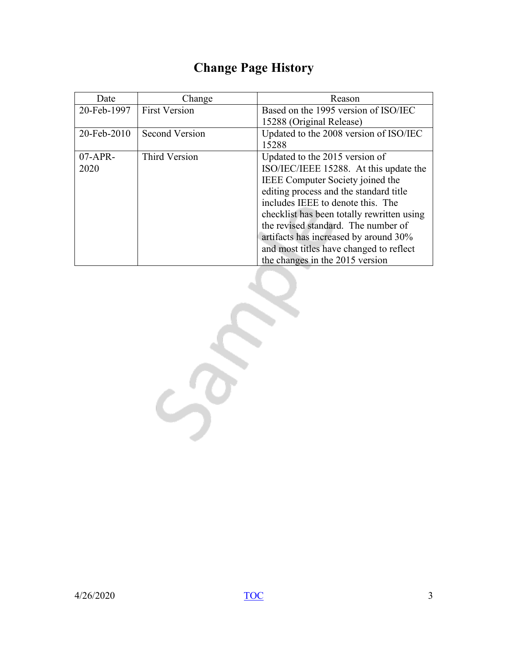# **Change Page History**

<span id="page-2-0"></span>

| Date        | Change               | Reason                                     |
|-------------|----------------------|--------------------------------------------|
| 20-Feb-1997 | <b>First Version</b> | Based on the 1995 version of ISO/IEC       |
|             |                      | 15288 (Original Release)                   |
| 20-Feb-2010 | Second Version       | Updated to the 2008 version of ISO/IEC     |
|             |                      | 15288                                      |
| $07-APR-$   | Third Version        | Updated to the 2015 version of             |
| 2020        |                      | ISO/IEC/IEEE 15288. At this update the     |
|             |                      | IEEE Computer Society joined the           |
|             |                      | editing process and the standard title     |
|             |                      | includes IEEE to denote this. The          |
|             |                      | checklist has been totally rewritten using |
|             |                      | the revised standard. The number of        |
|             |                      | artifacts has increased by around 30%      |
|             |                      | and most titles have changed to reflect    |
|             |                      | the changes in the 2015 version            |

Son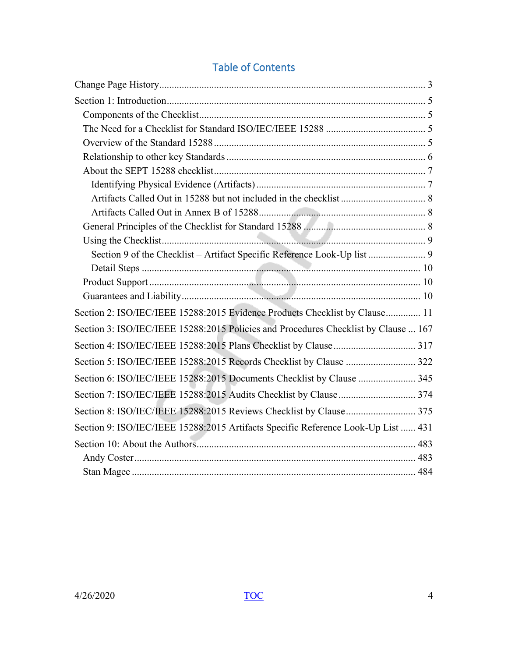| Section 9 of the Checklist - Artifact Specific Reference Look-Up list  9            |
|-------------------------------------------------------------------------------------|
|                                                                                     |
|                                                                                     |
|                                                                                     |
| Section 2: ISO/IEC/IEEE 15288:2015 Evidence Products Checklist by Clause 11         |
| Section 3: ISO/IEC/IEEE 15288:2015 Policies and Procedures Checklist by Clause  167 |
|                                                                                     |
| Section 5: ISO/IEC/IEEE 15288:2015 Records Checklist by Clause  322                 |
| Section 6: ISO/IEC/IEEE 15288:2015 Documents Checklist by Clause  345               |
|                                                                                     |
| Section 8: ISO/IEC/IEEE 15288:2015 Reviews Checklist by Clause 375                  |
| Section 9: ISO/IEC/IEEE 15288:2015 Artifacts Specific Reference Look-Up List  431   |
|                                                                                     |
|                                                                                     |
|                                                                                     |

# <span id="page-3-1"></span><span id="page-3-0"></span>Table of Contents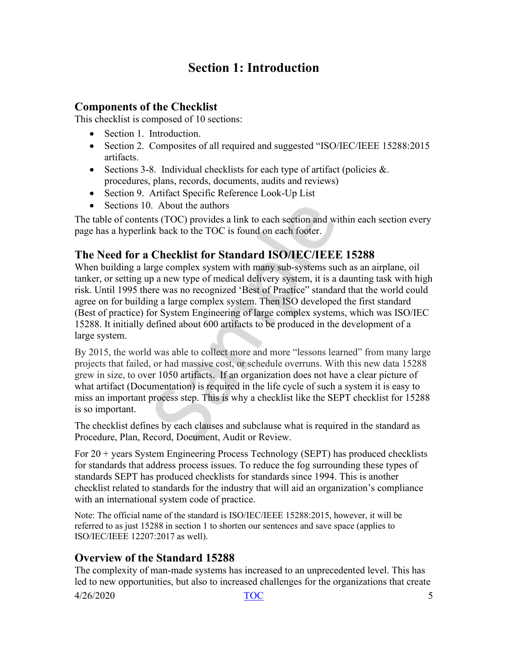## **Section 1: Introduction**

#### <span id="page-4-1"></span><span id="page-4-0"></span>**Components of the Checklist**

This checklist is composed of 10 sections:

- Section 1. Introduction.
- Section 2. Composites of all required and suggested "ISO/IEC/IEEE 15288:2015 artifacts.
- Sections 3-8. Individual checklists for each type of artifact (policies  $\&$ . procedures, plans, records, documents, audits and reviews)
- Section 9. Artifact Specific Reference Look-Up List
- Sections 10. About the authors

The table of contents (TOC) provides a link to each section and within each section every page has a hyperlink back to the TOC is found on each footer.

## <span id="page-4-2"></span>**The Need for a Checklist for Standard ISO/IEC/IEEE 15288**

When building a large complex system with many sub-systems such as an airplane, oil tanker, or setting up a new type of medical delivery system, it is a daunting task with high risk. Until 1995 there was no recognized 'Best of Practice" standard that the world could agree on for building a large complex system. Then ISO developed the first standard (Best of practice) for System Engineering of large complex systems, which was ISO/IEC 15288. It initially defined about 600 artifacts to be produced in the development of a large system.

By 2015, the world was able to collect more and more "lessons learned" from many large projects that failed, or had massive cost, or schedule overruns. With this new data 15288 grew in size, to over 1050 artifacts. If an organization does not have a clear picture of what artifact (Documentation) is required in the life cycle of such a system it is easy to miss an important process step. This is why a checklist like the SEPT checklist for 15288 is so important.

The checklist defines by each clauses and subclause what is required in the standard as Procedure, Plan, Record, Document, Audit or Review.

For 20 + years System Engineering Process Technology (SEPT) has produced checklists for standards that address process issues. To reduce the fog surrounding these types of standards SEPT has produced checklists for standards since 1994. This is another checklist related to standards for the industry that will aid an organization's compliance with an international system code of practice.

Note: The official name of the standard is ISO/IEC/IEEE 15288:2015, however, it will be referred to as just 15288 in section 1 to shorten our sentences and save space (applies to ISO/IEC/IEEE 12207:2017 as well).

## <span id="page-4-3"></span>**Overview of the Standard 15288**

The complexity of man-made systems has increased to an unprecedented level. This has led to new opportunities, but also to increased challenges for the organizations that create

 $\frac{170C}{100}$  5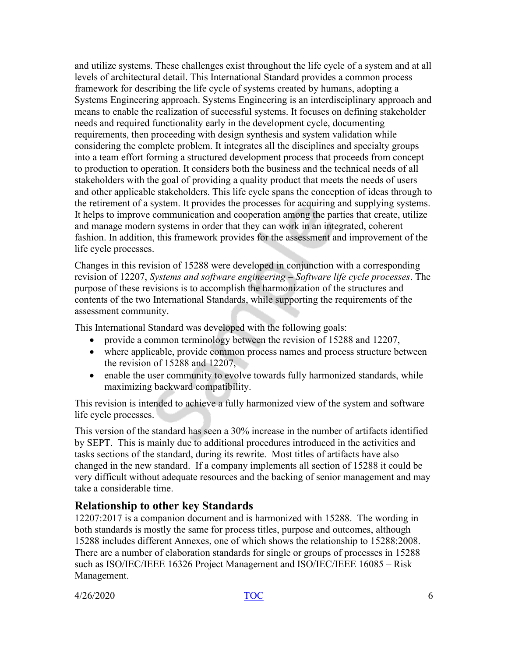and utilize systems. These challenges exist throughout the life cycle of a system and at all levels of architectural detail. This International Standard provides a common process framework for describing the life cycle of systems created by humans, adopting a Systems Engineering approach. Systems Engineering is an interdisciplinary approach and means to enable the realization of successful systems. It focuses on defining stakeholder needs and required functionality early in the development cycle, documenting requirements, then proceeding with design synthesis and system validation while considering the complete problem. It integrates all the disciplines and specialty groups into a team effort forming a structured development process that proceeds from concept to production to operation. It considers both the business and the technical needs of all stakeholders with the goal of providing a quality product that meets the needs of users and other applicable stakeholders. This life cycle spans the conception of ideas through to the retirement of a system. It provides the processes for acquiring and supplying systems. It helps to improve communication and cooperation among the parties that create, utilize and manage modern systems in order that they can work in an integrated, coherent fashion. In addition, this framework provides for the assessment and improvement of the life cycle processes.

Changes in this revision of 15288 were developed in conjunction with a corresponding revision of 12207, *Systems and software engineering – Software life cycle processes*. The purpose of these revisions is to accomplish the harmonization of the structures and contents of the two International Standards, while supporting the requirements of the assessment community.

This International Standard was developed with the following goals:

- provide a common terminology between the revision of 15288 and 12207,
- where applicable, provide common process names and process structure between the revision of 15288 and 12207,
- enable the user community to evolve towards fully harmonized standards, while maximizing backward compatibility.

This revision is intended to achieve a fully harmonized view of the system and software life cycle processes.

This version of the standard has seen a 30% increase in the number of artifacts identified by SEPT. This is mainly due to additional procedures introduced in the activities and tasks sections of the standard, during its rewrite. Most titles of artifacts have also changed in the new standard. If a company implements all section of 15288 it could be very difficult without adequate resources and the backing of senior management and may take a considerable time.

#### <span id="page-5-0"></span>**Relationship to other key Standards**

12207:2017 is a companion document and is harmonized with 15288. The wording in both standards is mostly the same for process titles, purpose and outcomes, although 15288 includes different Annexes, one of which shows the relationship to 15288:2008. There are a number of elaboration standards for single or groups of processes in 15288 such as ISO/IEC/IEEE 16326 Project Management and ISO/IEC/IEEE 16085 – Risk Management.

 $\frac{1}{26}$  4/26/2020 6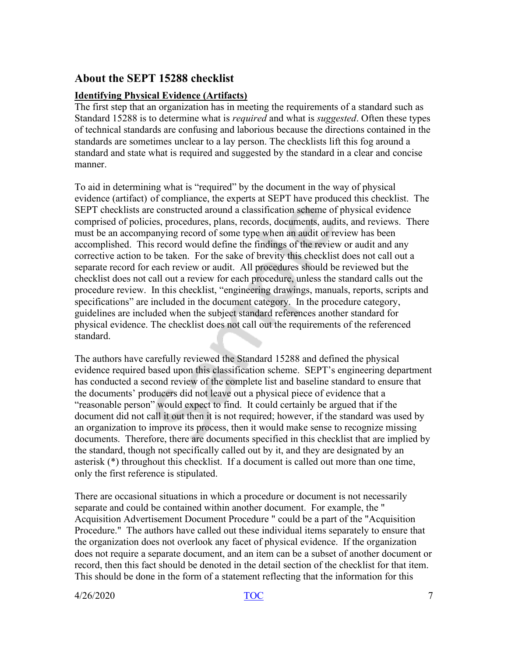#### <span id="page-6-0"></span>**About the SEPT 15288 checklist**

#### <span id="page-6-1"></span>**Identifying Physical Evidence (Artifacts)**

The first step that an organization has in meeting the requirements of a standard such as Standard 15288 is to determine what is *required* and what is *suggested*. Often these types of technical standards are confusing and laborious because the directions contained in the standards are sometimes unclear to a lay person. The checklists lift this fog around a standard and state what is required and suggested by the standard in a clear and concise manner.

To aid in determining what is "required" by the document in the way of physical evidence (artifact) of compliance, the experts at SEPT have produced this checklist. The SEPT checklists are constructed around a classification scheme of physical evidence comprised of policies, procedures, plans, records, documents, audits, and reviews. There must be an accompanying record of some type when an audit or review has been accomplished. This record would define the findings of the review or audit and any corrective action to be taken. For the sake of brevity this checklist does not call out a separate record for each review or audit. All procedures should be reviewed but the checklist does not call out a review for each procedure, unless the standard calls out the procedure review. In this checklist, "engineering drawings, manuals, reports, scripts and specifications" are included in the document category. In the procedure category, guidelines are included when the subject standard references another standard for physical evidence. The checklist does not call out the requirements of the referenced standard.

The authors have carefully reviewed the Standard 15288 and defined the physical evidence required based upon this classification scheme. SEPT's engineering department has conducted a second review of the complete list and baseline standard to ensure that the documents' producers did not leave out a physical piece of evidence that a "reasonable person" would expect to find. It could certainly be argued that if the document did not call it out then it is not required; however, if the standard was used by an organization to improve its process, then it would make sense to recognize missing documents. Therefore, there are documents specified in this checklist that are implied by the standard, though not specifically called out by it, and they are designated by an asterisk (\*) throughout this checklist. If a document is called out more than one time, only the first reference is stipulated.

There are occasional situations in which a procedure or document is not necessarily separate and could be contained within another document. For example, the " Acquisition Advertisement Document Procedure " could be a part of the "Acquisition Procedure." The authors have called out these individual items separately to ensure that the organization does not overlook any facet of physical evidence. If the organization does not require a separate document, and an item can be a subset of another document or record, then this fact should be denoted in the detail section of the checklist for that item. This should be done in the form of a statement reflecting that the information for this

4/26/2020 [TOC](#page-3-0) 7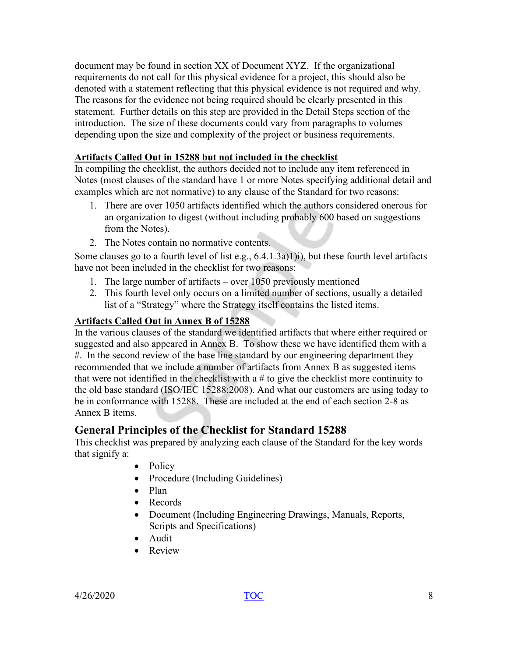document may be found in section XX of Document XYZ. If the organizational requirements do not call for this physical evidence for a project, this should also be denoted with a statement reflecting that this physical evidence is not required and why. The reasons for the evidence not being required should be clearly presented in this statement. Further details on this step are provided in the Detail Steps section of the introduction. The size of these documents could vary from paragraphs to volumes depending upon the size and complexity of the project or business requirements.

#### <span id="page-7-0"></span>**Artifacts Called Out in 15288 but not included in the checklist**

In compiling the checklist, the authors decided not to include any item referenced in Notes (most clauses of the standard have 1 or more Notes specifying additional detail and examples which are not normative) to any clause of the Standard for two reasons:

- 1. There are over 1050 artifacts identified which the authors considered onerous for an organization to digest (without including probably 600 based on suggestions from the Notes).
- 2. The Notes contain no normative contents.

Some clauses go to a fourth level of list e.g., 6.4.1.3a)1)i), but these fourth level artifacts have not been included in the checklist for two reasons:

- 1. The large number of artifacts over 1050 previously mentioned
- 2. This fourth level only occurs on a limited number of sections, usually a detailed list of a "Strategy" where the Strategy itself contains the listed items.

#### <span id="page-7-1"></span>**Artifacts Called Out in Annex B of 15288**

In the various clauses of the standard we identified artifacts that where either required or suggested and also appeared in Annex B. To show these we have identified them with a #. In the second review of the base line standard by our engineering department they recommended that we include a number of artifacts from Annex B as suggested items that were not identified in the checklist with a # to give the checklist more continuity to the old base standard (ISO/IEC 15288:2008). And what our customers are using today to be in conformance with 15288. These are included at the end of each section 2-8 as Annex B items.

## <span id="page-7-2"></span>**General Principles of the Checklist for Standard 15288**

This checklist was prepared by analyzing each clause of the Standard for the key words that signify a:

- Policy
- Procedure (Including Guidelines)
- Plan
- Records
- Document (Including Engineering Drawings, Manuals, Reports, Scripts and Specifications)
- Audit
- Review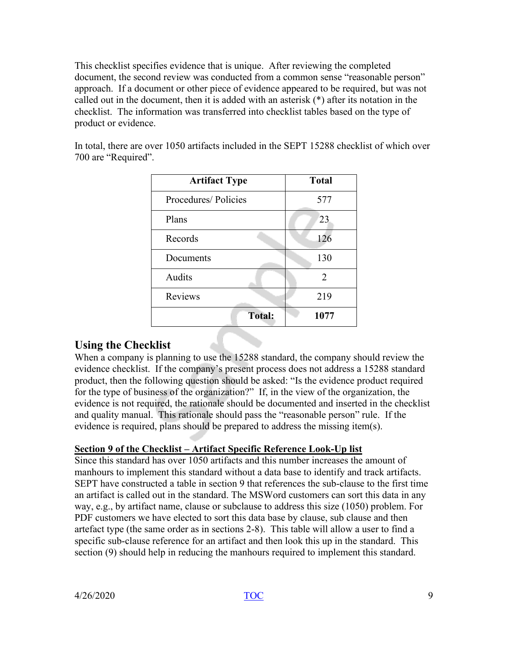This checklist specifies evidence that is unique. After reviewing the completed document, the second review was conducted from a common sense "reasonable person" approach. If a document or other piece of evidence appeared to be required, but was not called out in the document, then it is added with an asterisk (\*) after its notation in the checklist. The information was transferred into checklist tables based on the type of product or evidence.

| <b>Artifact Type</b> | <b>Total</b> |
|----------------------|--------------|
| Procedures/Policies  | 577          |
| Plans                | 23           |
| Records              | 126          |
| Documents            | 130          |
| Audits               | 2            |
| Reviews              | 219          |
| <b>Total:</b>        | 1077         |

In total, there are over 1050 artifacts included in the SEPT 15288 checklist of which over 700 are "Required".

#### <span id="page-8-0"></span>**Using the Checklist**

When a company is planning to use the 15288 standard, the company should review the evidence checklist. If the company's present process does not address a 15288 standard product, then the following question should be asked: "Is the evidence product required for the type of business of the organization?" If, in the view of the organization, the evidence is not required, the rationale should be documented and inserted in the checklist and quality manual. This rationale should pass the "reasonable person" rule. If the evidence is required, plans should be prepared to address the missing item(s).

#### <span id="page-8-1"></span>**Section 9 of the Checklist – Artifact Specific Reference Look-Up list**

Since this standard has over 1050 artifacts and this number increases the amount of manhours to implement this standard without a data base to identify and track artifacts. SEPT have constructed a table in section 9 that references the sub-clause to the first time an artifact is called out in the standard. The MSWord customers can sort this data in any way, e.g., by artifact name, clause or subclause to address this size (1050) problem. For PDF customers we have elected to sort this data base by clause, sub clause and then artefact type (the same order as in sections 2-8). This table will allow a user to find a specific sub-clause reference for an artifact and then look this up in the standard. This section (9) should help in reducing the manhours required to implement this standard.

4/26/2020 [TOC](#page-3-0) 9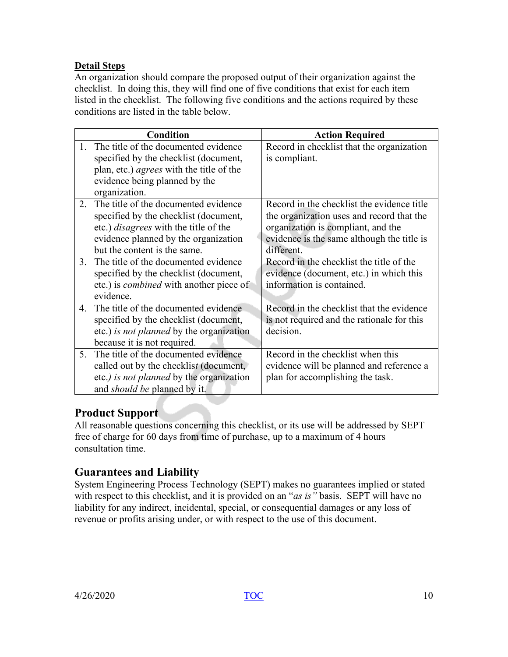#### <span id="page-9-0"></span>**Detail Steps**

An organization should compare the proposed output of their organization against the checklist. In doing this, they will find one of five conditions that exist for each item listed in the checklist. The following five conditions and the actions required by these conditions are listed in the table below.

|                           | <b>Condition</b>                                | <b>Action Required</b>                     |
|---------------------------|-------------------------------------------------|--------------------------------------------|
| $\mathbf{1}_{\mathbf{1}}$ | The title of the documented evidence            | Record in checklist that the organization  |
|                           | specified by the checklist (document,           | is compliant.                              |
|                           | plan, etc.) <i>agrees</i> with the title of the |                                            |
|                           | evidence being planned by the                   |                                            |
|                           | organization.                                   |                                            |
| 2.                        | The title of the documented evidence            | Record in the checklist the evidence title |
|                           | specified by the checklist (document,           | the organization uses and record that the  |
|                           | etc.) <i>disagrees</i> with the title of the    | organization is compliant, and the         |
|                           | evidence planned by the organization            | evidence is the same although the title is |
|                           | but the content is the same.                    | different.                                 |
| $3_{-}$                   | The title of the documented evidence            | Record in the checklist the title of the   |
|                           | specified by the checklist (document,           | evidence (document, etc.) in which this    |
|                           | etc.) is <i>combined</i> with another piece of  | information is contained.                  |
|                           | evidence.                                       |                                            |
| 4.                        | The title of the documented evidence            | Record in the checklist that the evidence  |
|                           | specified by the checklist (document,           | is not required and the rationale for this |
|                           | etc.) is not planned by the organization        | decision.                                  |
|                           | because it is not required.                     |                                            |
| $5^{\circ}$               | The title of the documented evidence            | Record in the checklist when this          |
|                           | called out by the checklist (document,          | evidence will be planned and reference a   |
|                           | etc.) is not planned by the organization        | plan for accomplishing the task.           |
|                           | and <i>should be</i> planned by it.             |                                            |

## <span id="page-9-1"></span>**Product Support**

All reasonable questions concerning this checklist, or its use will be addressed by SEPT free of charge for 60 days from time of purchase, up to a maximum of 4 hours consultation time.

## <span id="page-9-2"></span>**Guarantees and Liability**

System Engineering Process Technology (SEPT) makes no guarantees implied or stated with respect to this checklist, and it is provided on an "*as is"* basis. SEPT will have no liability for any indirect, incidental, special, or consequential damages or any loss of revenue or profits arising under, or with respect to the use of this document.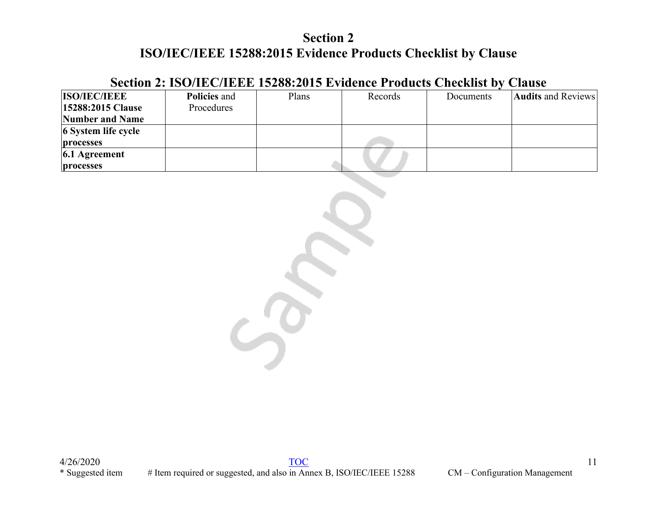## **Section 2: ISO/IEC/IEEE 15288:2015 Evidence Products Checklist by Clause**

<span id="page-10-0"></span>

| <b>ISO/IEC/IEEE</b>      | <b>Policies and</b> | Plans | Records | Documents | <b>Audits and Reviews</b> |
|--------------------------|---------------------|-------|---------|-----------|---------------------------|
| <b>15288:2015 Clause</b> | Procedures          |       |         |           |                           |
| Number and Name          |                     |       |         |           |                           |
| 6 System life cycle      |                     |       |         |           |                           |
| processes                |                     |       |         |           |                           |
| $6.1$ Agreement          |                     |       |         |           |                           |
| processes                |                     |       |         |           |                           |

 $\sim$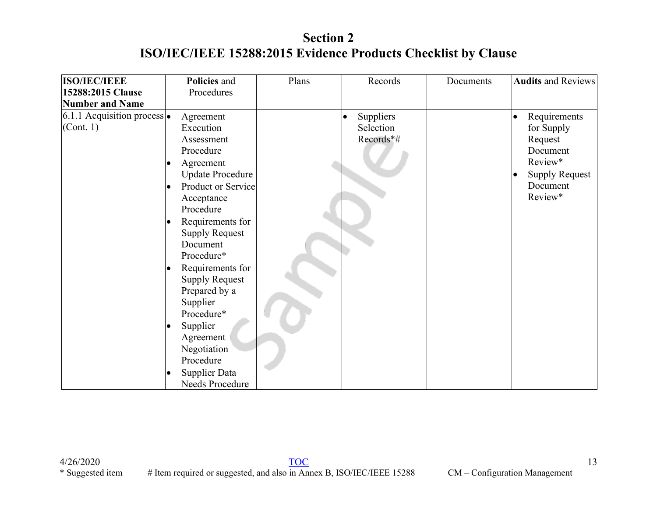| <b>ISO/IEC/IEEE</b>                              | Policies and                                                                                                                                                                                                                                                                                                           | Plans | Records                             | Documents | <b>Audits and Reviews</b>                                                                                                 |
|--------------------------------------------------|------------------------------------------------------------------------------------------------------------------------------------------------------------------------------------------------------------------------------------------------------------------------------------------------------------------------|-------|-------------------------------------|-----------|---------------------------------------------------------------------------------------------------------------------------|
| 15288:2015 Clause                                | Procedures                                                                                                                                                                                                                                                                                                             |       |                                     |           |                                                                                                                           |
| <b>Number and Name</b>                           |                                                                                                                                                                                                                                                                                                                        |       |                                     |           |                                                                                                                           |
| 6.1.1 Acquisition process $\bullet$<br>(Cont. 1) | Agreement<br>Execution<br>Assessment<br>Procedure<br>Agreement<br><b>Update Procedure</b><br>Product or Service<br>$\bullet$<br>Acceptance<br>Procedure<br>Requirements for<br>$\bullet$<br><b>Supply Request</b><br>Document<br>Procedure*<br>Requirements for<br>$\bullet$<br><b>Supply Request</b><br>Prepared by a |       | Suppliers<br>Selection<br>Records*# |           | Requirements<br>$\bullet$<br>for Supply<br>Request<br>Document<br>Review*<br><b>Supply Request</b><br>Document<br>Review* |
|                                                  | Supplier<br>Procedure*<br>Supplier<br>$\bullet$<br>Agreement<br>Negotiation<br>Procedure<br>Supplier Data<br>$\bullet$<br>Needs Procedure                                                                                                                                                                              |       |                                     |           |                                                                                                                           |